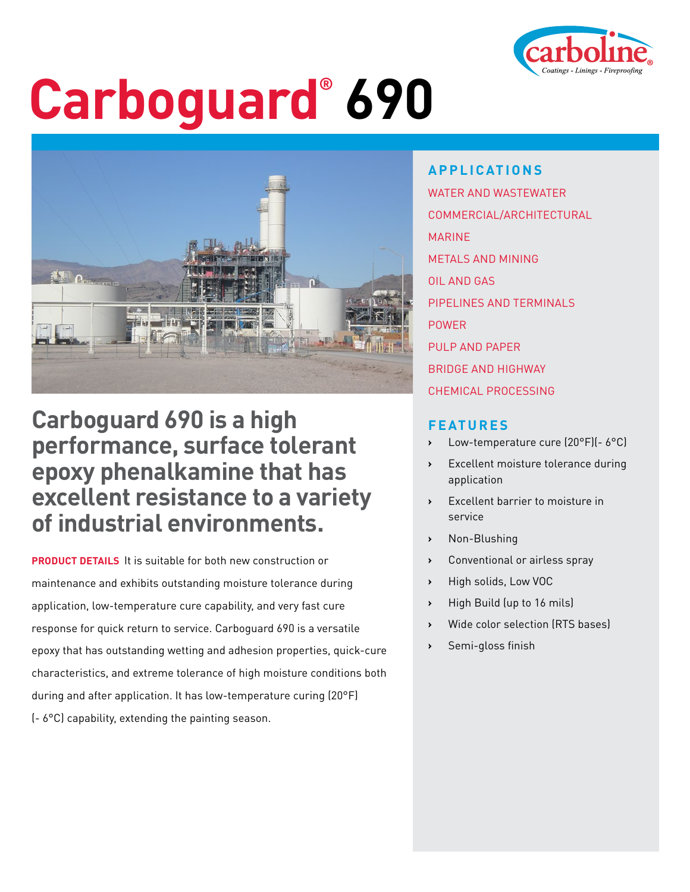

# **Carboguard® 690**



### **Carboguard 690 is a high performance, surface tolerant epoxy phenalkamine that has excellent resistance to a variety of industrial environments.**

**PRODUCT DETAILS** It is suitable for both new construction or maintenance and exhibits outstanding moisture tolerance during application, low-temperature cure capability, and very fast cure response for quick return to service. Carboguard 690 is a versatile epoxy that has outstanding wetting and adhesion properties, quick-cure characteristics, and extreme tolerance of high moisture conditions both during and after application. It has low-temperature curing (20°F) (- 6°C) capability, extending the painting season.

**APPLICATIONS** WATER AND WASTEWATER COMMERCIAL/ARCHITECTURAL MARINE METALS AND MINING OIL AND GAS PIPELINES AND TERMINALS POWER PULP AND PAPER BRIDGE AND HIGHWAY CHEMICAL PROCESSING

#### **FEATURES**

- **›** Low-temperature cure (20°F)(- 6°C)
- **›** Excellent moisture tolerance during application
- **›** Excellent barrier to moisture in service
- **›** Non-Blushing
- **›** Conventional or airless spray
- **›** High solids, Low VOC
- **›** High Build (up to 16 mils)
- **›** Wide color selection (RTS bases)
- **›** Semi-gloss finish